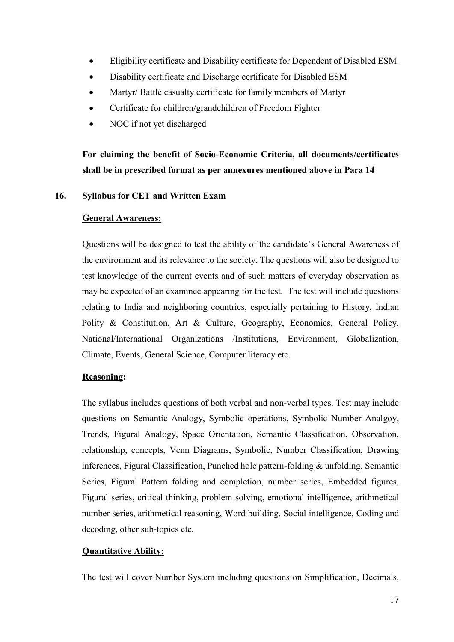- Eligibility certificate and Disability certificate for Dependent of Disabled ESM.
- Disability certificate and Discharge certificate for Disabled ESM
- Martyr/ Battle casualty certificate for family members of Martyr
- Certificate for children/grandchildren of Freedom Fighter
- NOC if not yet discharged

For claiming the benefit of Socio-Economic Criteria, all documents/certificates shall be in prescribed format as per annexures mentioned above in Para 14

# 16. Syllabus for CET and Written Exam

### General Awareness:

 Questions will be designed to test the ability of the candidate's General Awareness of the environment and its relevance to the society. The questions will also be designed to test knowledge of the current events and of such matters of everyday observation as may be expected of an examinee appearing for the test. The test will include questions relating to India and neighboring countries, especially pertaining to History, Indian Polity & Constitution, Art & Culture, Geography, Economics, General Policy, National/International Organizations /Institutions, Environment, Globalization, Climate, Events, General Science, Computer literacy etc.

# Reasoning:

The syllabus includes questions of both verbal and non-verbal types. Test may include questions on Semantic Analogy, Symbolic operations, Symbolic Number Analgoy, Trends, Figural Analogy, Space Orientation, Semantic Classification, Observation, relationship, concepts, Venn Diagrams, Symbolic, Number Classification, Drawing inferences, Figural Classification, Punched hole pattern-folding & unfolding, Semantic Series, Figural Pattern folding and completion, number series, Embedded figures, Figural series, critical thinking, problem solving, emotional intelligence, arithmetical number series, arithmetical reasoning, Word building, Social intelligence, Coding and decoding, other sub-topics etc.

# Quantitative Ability:

The test will cover Number System including questions on Simplification, Decimals,